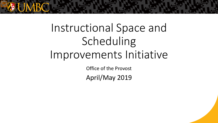

# Instructional Space and Scheduling Improvements Initiative

Office of the Provost April/May 2019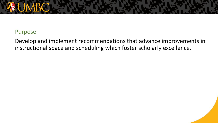### Purpose

Develop and implement recommendations that advance improvements in instructional space and scheduling which foster scholarly excellence.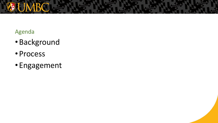

- •Background
- Process
- Engagement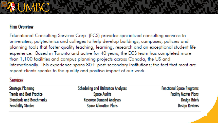#### **Firm Overview**

Educational Consulting Services Corp. (ECS) provides specialized consulting services to universities, polytechnics and colleges to help develop buildings, campuses, policies and planning tools that foster quality teaching, learning, research and an exceptional student life experience. Based in Toronto and active for 40 years, the ECS team has completed more than 1,100 facilities and campus planning projects across Canada, the US and internationally. This experience spans 80+ post-secondary institutions; the fact that most are repeat clients speaks to the quality and positive impact of our work.

#### **Services**

| <b>Strategic Planning</b>       | <b>Scheduling and Utilization Analyses</b> | <b>Functional Space Programs</b> |
|---------------------------------|--------------------------------------------|----------------------------------|
| <b>Trends and Best Practice</b> | <b>Space Audits</b>                        | <b>Facility Master Plans</b>     |
| <b>Standards and Benchmarks</b> | <b>Resource Demand Analyses</b>            | <b>Design Briefs</b>             |
| <b>Feasibility Studies</b>      | <b>Space Allocation Plans</b>              | <b>Design Reviews</b>            |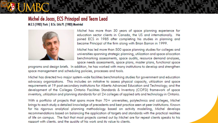# Michel de Jocas, ECS Principal and Team Lead

M.E.S (1985) York | B.Sc. Urb.Pl. (1983) Montréal



Michel has more than 30 years of space planning experience for education sector clients in Canada, the US and internationally. He joined ECS in 1985 after completing his studies in planning and became Principal of the firm along with Brian Barron in 1999.

Michel has led more than 500 space planning studies for colleges and universities spanning strategic planning, utilization and space allocation benchmarking assessments, space audits, resource demand analyses, space needs assessments, space plans, master plans, functional space

programs and design briefs. In addition, he has worked with many institutions to develop and strengthen space management and scheduling policies, processes and tools.

Michel has directed two major system-wide facilities benchmarking studies for government and education advocacy organizations. This includes an initiative to assess physical capacity, utilization and space requirements at 19 post-secondary institutions for Alberta Advanced Education and Technology; and the development of the Colleges Ontario Facilities Standards & Inventory (COFSI) framework of space inventory, utilization and planning standards for all 24 colleges of applied arts and technology in Ontario.

With a portfolio of projects that spans more than 70+ universities, polytechnics and colleges, Michel brings to each study a detailed knowledge of precedents and best practice seen at peer institutions. Knownfor his rigorous analytical planning methodology based on activity modelling, Michel develops recommendations based on balancing the application of targets and standards with the practical realities of life on campus. The fact that most projects carried out by Michel are for repeat clients speaks to his rapport with clients, and the auality of his work and its value to clients.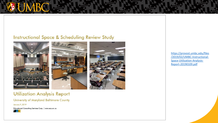#### **Instructional Space & Scheduling Review Study**







#### **Utilization Analysis Report**

University of Maryland Baltimore County

**January 9, 2019** 

Educational Consulting Services Corp. | www.ecs.on.ca



https://provost.umbc.edu/files /2019/02/UMBC-Instructional-Space-Utilization-Analysis-Report-20190109.pdf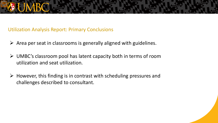Utilization Analysis Report: Primary Conclusions

- $\triangleright$  Area per seat in classrooms is generally aligned with guidelines.
- $\triangleright$  UMBC's classroom pool has latent capacity both in terms of room utilization and seat utilization.
- $\triangleright$  However, this finding is in contrast with scheduling pressures and challenges described to consultant.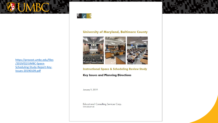





#### **University of Maryland, Baltimore County**



**Instructional Space & Scheduling Review Study** 

#### **Key Issues and Planning Directions**

January 9, 2019

**Educational Consulting Services Corp.** www.ecs.on.ca

https://provost.umbc.edu/files /2019/02/UMBC-Space-Scheduling-Study-Report-Key-Issues-20190109.pdf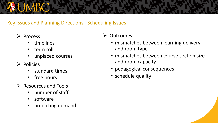### Key Issues and Planning Directions: Scheduling Issues

- $\triangleright$  Process
	- timelines
	- term roll
	- unplaced courses
- $\triangleright$  Policies
	- standard times
	- free hours
- $\triangleright$  Resources and Tools
	- number of staff
	- software
	- predicting demand

### **≻** Outcomes

- mismatches between learning delivery and room type
- mismatches between course section size and room capacity
- pedagogical consequences
- schedule quality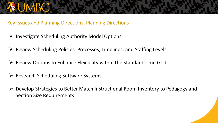#### Key Issues and Planning Directions: Planning Directions

- $\triangleright$  Investigate Scheduling Authority Model Options
- $\triangleright$  Review Scheduling Policies, Processes, Timelines, and Staffing Levels
- $\triangleright$  Review Options to Enhance Flexibility within the Standard Time Grid
- $\triangleright$  Research Scheduling Software Systems
- Develop Strategies to Better Match Instructional Room Inventory to Pedagogy and Section Size Requirements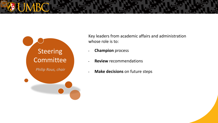

Key leaders from academic affairs and administration whose role is to:

- **Champion** process
- **Review** recommendations
- **Make decisions** on future steps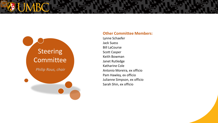

#### **Other Committee Members:**

Lynne Schaefer Jack Suess Bill LaCourse Scott Casper Keith Bowman Janet Rutledge Katharine Cole Antonio Moreira, ex officio Pam Hawley, ex officio Julianne Simpson, ex officio Sarah Shin, ex officio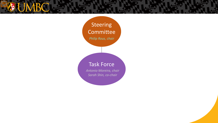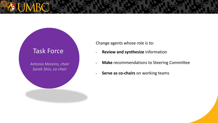## Task Force

*Antonio Moreira, chair Sarah Shin, co-chair*

Change agents whose role is to:

- **Review and synthesize** information
- **Make** recommendations to Steering Committee
- **Serve as co-chairs** on working teams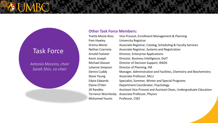## Task Force

*Antonio Moreira, chair Sarah Shin, co-chair*

#### **Other Task Force Members:**

| <b>Yvette Mozie-Ross</b> | Vice Provost, Enrollment Management & Planning                     |
|--------------------------|--------------------------------------------------------------------|
| Pam Hawley               | <b>University Registrar</b>                                        |
| Drema Wentz              | Associate Registrar, Catalog, Scheduling & Faculty Services        |
| Nathan Czarnota          | Associate Registrar, Systems and Registration                      |
| Arnold Foelster          | Director, Enterprise Applications                                  |
| Kevin Joseph             | Director, Business Intelligence, DoIT                              |
| Michael Glasser          | Director of Decision Support, IRADS                                |
| Julianne Simpson         | Director of Planning, FM                                           |
| Dennis Cuddy             | Manager, Administration and Facilities, Chemistry and Biochemistry |
| <b>Steve Young</b>       | Associate Professor, MLLI                                          |
| Edyta Edwards            | Specialist, Summer, Winter and Special Programs                    |
| Elaine O'Heir            | Department Coordinator, Psychology                                 |
| Jill Randles             | Assistant Vice Provost and Assistant Dean, Undergraduate Education |
| Terrance Worchesky       | <b>Associate Professor, Physics</b>                                |
| <b>Mohamed Younis</b>    | Professor, CSEE                                                    |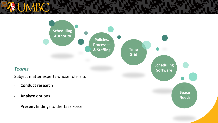

#### *Teams*

Subject matter experts whose role is to:

- **Conduct** research
- **Analyze** options
- **Present** findings to the Task Force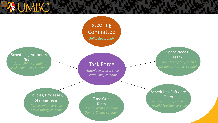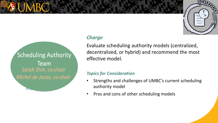

#### *Charge*

BY-

Scheduling Authority

Team

Sarah Shin, co-chair

Michel de Jocas, co-chair

Evaluate scheduling authority models (centralized, decentralized, or hybrid) and recommend the most effective model.

#### *Topics for Consideration*

- Strengths and challenges of UMBC's current scheduling authority model
- Pros and cons of other scheduling models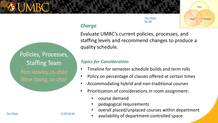# [This Photo](http://anoopcnair.com/) **by United United United United United United United United United United United United United United United United United United United United United United United United United United United United United Unit** Policies

Policies, Processes, **Staffing Team** Pam Hawley, co-chair Steve Young, co-chair

### *Charge*

Evaluate UMBC's current policies, processes, and staffing levels and recommend changes to produce a quality schedule.

NC-ND

#### *Topics for Consideration*

- Timeline for semester schedule builds and term rolls
- Policy on percentage of classes offered at certain times
- Accommodating hybrid and non-traditional courses
- Prioritization of considerations in room assignment:
	- course demand
	- pedagogical requirements
	- overall placed/unplaced courses within department
	- availability of department-controlled space

[This Photo](http://suifaijohnmak.wordpress.com/2011/09/25/change11-change-change-management-and-transformation/) by Unknown Author is licensed under [CC BY-SA-NC](https://creativecommons.org/licenses/by-nc-sa/3.0/)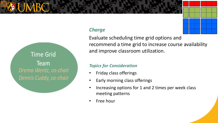# [This Photo](https://math.stackexchange.com/questions/1822583/what-is-the-sum-of-the-81-products-in-the-9-times-9-multiplication-grid) by Unknown [Author is licensed under CC](https://creativecommons.org/licenses/by-sa/3.0/)

#### **Charge**

Evaluate scheduling time grid options and recommend a time grid to increase course availability and improve classroom utilization.

#### *Topics for Consideration*

- Friday class offerings
- Early morning class offerings
- Increasing options for 1 and 2 times per week class meeting patterns
- Free hour

**Time Grid Team** Drema Wentz, co-chair Dennis Cuddy, co-chair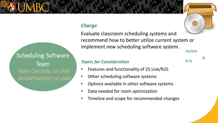## **Scheduling Software Team** Nate Czarnota, co-chair Arnold Foelster, co-chair

#### *Charge*

Evaluate classroom scheduling systems and recommend how to better utilize current system or implement new scheduling software system. **[This Photo](http://commons.wikimedia.org/wiki/file:gnome-system-software-installer.svg)** 

#### *Topics for Consideration*

- Features and functionality of 25 Live/R25
- Other scheduling software systems
- Options available in other software systems
- Data needed for room optimization
- Timeline and scope for recommended changes



BY-SA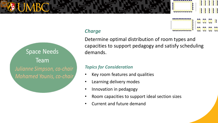# **Space Needs Team** Julianne Simpson, co-chair Mohamed Younis, co-chair

### *Charge*

Determine optimal distribution of room types and capacities to support pedagogy and satisfy scheduling demands.

<u>raaaaaaaaa</u>

#### *Topics for Consideration*

- Key room features and qualities
- Learning delivery modes
- Innovation in pedagogy
- Room capacities to support ideal section sizes
- Current and future demand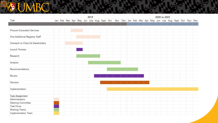#### 2019 2020 to 2022 Task Jan Feb Mar Apr May Jun July Aug Sept Oct Nov Dec Jan Feb Mar Apr May Jun July Aug Sept Oct Nov Dec Procure Consultant Services Hire Additional Registrar Staff Outreach to Chairs & Stakeholders Launch Process Research Analysis Recommendations Review Decision Implementation **Task Assignment** Administrators **Steering Committee** Task Force **Working Teams** Implementation Team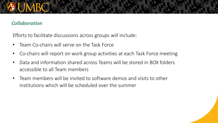#### *Collaboration*

Efforts to facilitate discussions across groups will include:

- Team Co-chairs will serve on the Task Force
- Co-chairs will report on work group activities at each Task Force meeting
- Data and information shared across Teams will be stored in BOX folders accessible to all Team members
- Team members will be invited to software demos and visits to other institutions which will be scheduled over the summer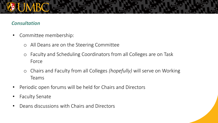#### *Consultation*

- Committee membership:
	- o All Deans are on the Steering Committee
	- o Faculty and Scheduling Coordinators from all Colleges are on Task Force
	- o Chairs and Faculty from all Colleges *(hopefully)* will serve on Working Teams
- Periodic open forums will be held for Chairs and Directors
- Faculty Senate
- Deans discussions with Chairs and Directors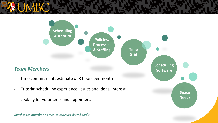

*Send team member names to moreira@umbc.edu*